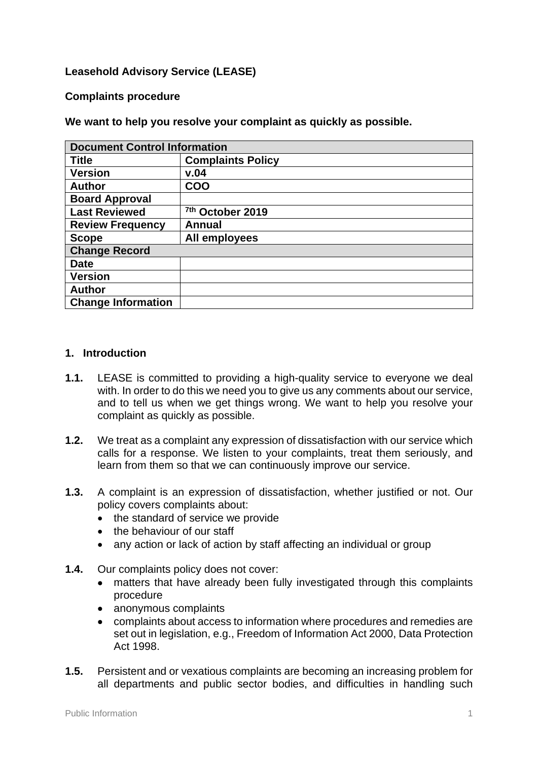# **Leasehold Advisory Service (LEASE)**

#### **Complaints procedure**

**We want to help you resolve your complaint as quickly as possible.**

| <b>Document Control Information</b> |                          |
|-------------------------------------|--------------------------|
| <b>Title</b>                        | <b>Complaints Policy</b> |
| <b>Version</b>                      | v.04                     |
| <b>Author</b>                       | <b>COO</b>               |
| <b>Board Approval</b>               |                          |
| <b>Last Reviewed</b>                | 7th October 2019         |
| <b>Review Frequency</b>             | <b>Annual</b>            |
| <b>Scope</b>                        | All employees            |
| <b>Change Record</b>                |                          |
| <b>Date</b>                         |                          |
| <b>Version</b>                      |                          |
| <b>Author</b>                       |                          |
| <b>Change Information</b>           |                          |

#### **1. Introduction**

- **1.1.** LEASE is committed to providing a high-quality service to everyone we deal with. In order to do this we need you to give us any comments about our service, and to tell us when we get things wrong. We want to help you resolve your complaint as quickly as possible.
- **1.2.** We treat as a complaint any expression of dissatisfaction with our service which calls for a response. We listen to your complaints, treat them seriously, and learn from them so that we can continuously improve our service.
- **1.3.** A complaint is an expression of dissatisfaction, whether justified or not. Our policy covers complaints about:
	- the standard of service we provide
	- the behaviour of our staff
	- any action or lack of action by staff affecting an individual or group
- **1.4.** Our complaints policy does not cover:
	- matters that have already been fully investigated through this complaints procedure
	- anonymous complaints
	- complaints about access to information where procedures and remedies are set out in legislation, e.g., Freedom of Information Act 2000, Data Protection Act 1998.
- **1.5.** Persistent and or vexatious complaints are becoming an increasing problem for all departments and public sector bodies, and difficulties in handling such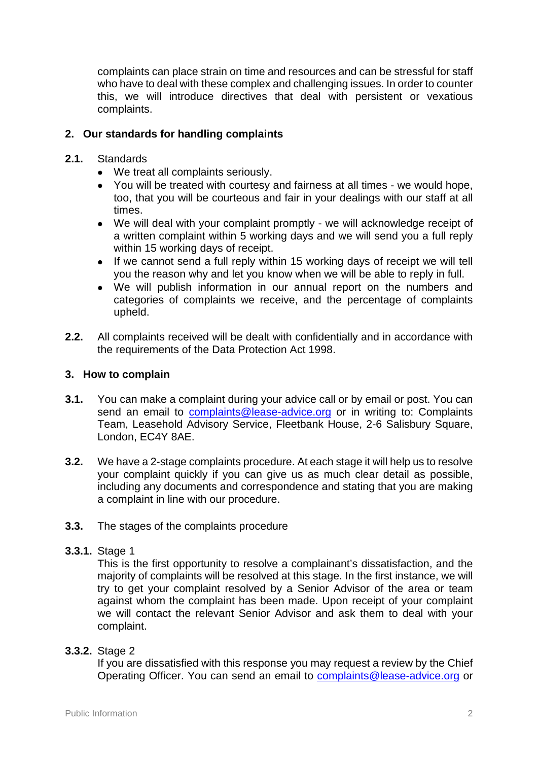complaints can place strain on time and resources and can be stressful for staff who have to deal with these complex and challenging issues. In order to counter this, we will introduce directives that deal with persistent or vexatious complaints.

# **2. Our standards for handling complaints**

- **2.1.** Standards
	- We treat all complaints seriously.
	- You will be treated with courtesy and fairness at all times we would hope, too, that you will be courteous and fair in your dealings with our staff at all times.
	- We will deal with your complaint promptly we will acknowledge receipt of a written complaint within 5 working days and we will send you a full reply within 15 working days of receipt.
	- If we cannot send a full reply within 15 working days of receipt we will tell you the reason why and let you know when we will be able to reply in full.
	- We will publish information in our annual report on the numbers and categories of complaints we receive, and the percentage of complaints upheld.
- **2.2.** All complaints received will be dealt with confidentially and in accordance with the requirements of the Data Protection Act 1998.

## **3. How to complain**

- **3.1.** You can make a complaint during your advice call or by email or post. You can send an email to [complaints@lease-advice.org](mailto:complaints@lease-advice.org) or in writing to: Complaints Team, Leasehold Advisory Service, Fleetbank House, 2-6 Salisbury Square, London, EC4Y 8AE.
- **3.2.** We have a 2-stage complaints procedure. At each stage it will help us to resolve your complaint quickly if you can give us as much clear detail as possible, including any documents and correspondence and stating that you are making a complaint in line with our procedure.
- **3.3.** The stages of the complaints procedure

## **3.3.1.** Stage 1

This is the first opportunity to resolve a complainant's dissatisfaction, and the majority of complaints will be resolved at this stage. In the first instance, we will try to get your complaint resolved by a Senior Advisor of the area or team against whom the complaint has been made. Upon receipt of your complaint we will contact the relevant Senior Advisor and ask them to deal with your complaint.

## **3.3.2.** Stage 2

If you are dissatisfied with this response you may request a review by the Chief Operating Officer. You can send an email to **complaints@lease-advice.org** or